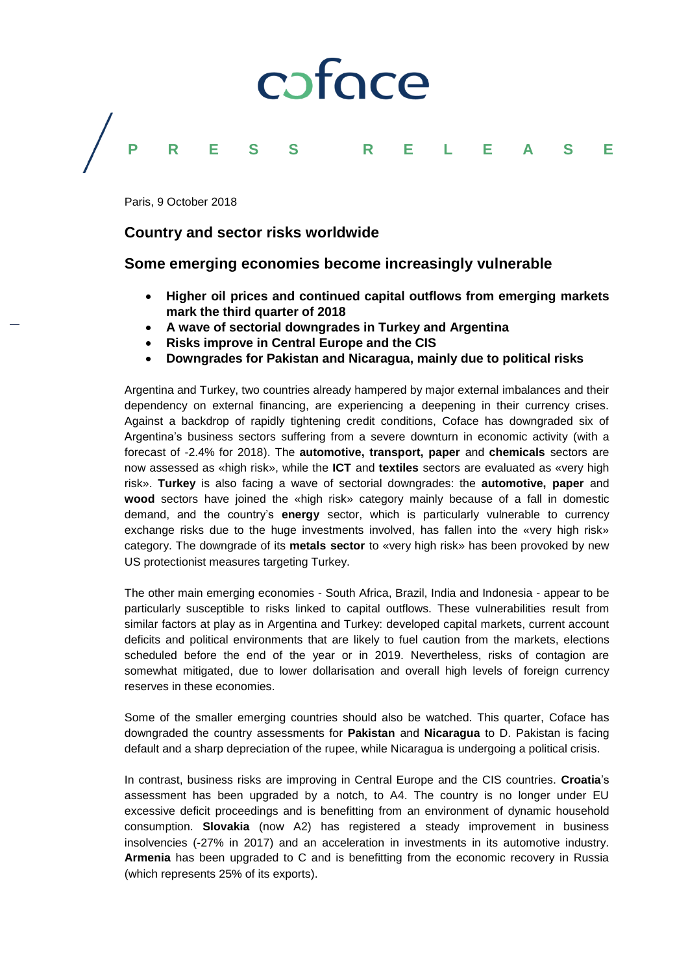## coface **PRESS RELEASE**

Paris, 9 October 2018

## **Country and sector risks worldwide**

## **Some emerging economies become increasingly vulnerable**

- **Higher oil prices and continued capital outflows from emerging markets mark the third quarter of 2018**
- **A wave of sectorial downgrades in Turkey and Argentina**
- **Risks improve in Central Europe and the CIS**
- **Downgrades for Pakistan and Nicaragua, mainly due to political risks**

Argentina and Turkey, two countries already hampered by major external imbalances and their dependency on external financing, are experiencing a deepening in their currency crises. Against a backdrop of rapidly tightening credit conditions, Coface has downgraded six of Argentina's business sectors suffering from a severe downturn in economic activity (with a forecast of -2.4% for 2018). The **automotive, transport, paper** and **chemicals** sectors are now assessed as «high risk», while the **ICT** and **textiles** sectors are evaluated as «very high risk». **Turkey** is also facing a wave of sectorial downgrades: the **automotive, paper** and **wood** sectors have joined the «high risk» category mainly because of a fall in domestic demand, and the country's **energy** sector, which is particularly vulnerable to currency exchange risks due to the huge investments involved, has fallen into the «very high risk» category. The downgrade of its **metals sector** to «very high risk» has been provoked by new US protectionist measures targeting Turkey.

The other main emerging economies - South Africa, Brazil, India and Indonesia - appear to be particularly susceptible to risks linked to capital outflows. These vulnerabilities result from similar factors at play as in Argentina and Turkey: developed capital markets, current account deficits and political environments that are likely to fuel caution from the markets, elections scheduled before the end of the year or in 2019. Nevertheless, risks of contagion are somewhat mitigated, due to lower dollarisation and overall high levels of foreign currency reserves in these economies.

Some of the smaller emerging countries should also be watched. This quarter, Coface has downgraded the country assessments for **Pakistan** and **Nicaragua** to D. Pakistan is facing default and a sharp depreciation of the rupee, while Nicaragua is undergoing a political crisis.

In contrast, business risks are improving in Central Europe and the CIS countries. **Croatia**'s assessment has been upgraded by a notch, to A4. The country is no longer under EU excessive deficit proceedings and is benefitting from an environment of dynamic household consumption. **Slovakia** (now A2) has registered a steady improvement in business insolvencies (-27% in 2017) and an acceleration in investments in its automotive industry. **Armenia** has been upgraded to C and is benefitting from the economic recovery in Russia (which represents 25% of its exports).